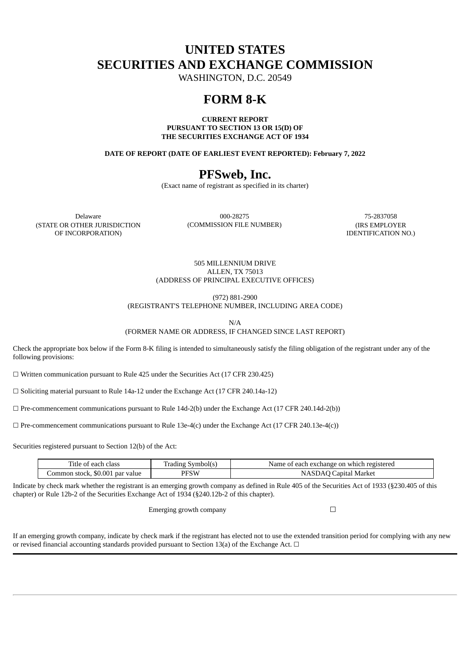# **UNITED STATES SECURITIES AND EXCHANGE COMMISSION**

WASHINGTON, D.C. 20549

# **FORM 8-K**

**CURRENT REPORT PURSUANT TO SECTION 13 OR 15(D) OF THE SECURITIES EXCHANGE ACT OF 1934**

**DATE OF REPORT (DATE OF EARLIEST EVENT REPORTED): February 7, 2022**

# **PFSweb, Inc.**

(Exact name of registrant as specified in its charter)

(STATE OR OTHER JURISDICTION OF INCORPORATION)

Delaware 000-28275 75-2837058 (COMMISSION FILE NUMBER) (IRS EMPLOYER

IDENTIFICATION NO.)

505 MILLENNIUM DRIVE ALLEN, TX 75013 (ADDRESS OF PRINCIPAL EXECUTIVE OFFICES)

(972) 881-2900

(REGISTRANT'S TELEPHONE NUMBER, INCLUDING AREA CODE)

N/A

(FORMER NAME OR ADDRESS, IF CHANGED SINCE LAST REPORT)

Check the appropriate box below if the Form 8-K filing is intended to simultaneously satisfy the filing obligation of the registrant under any of the following provisions:

 $\Box$  Written communication pursuant to Rule 425 under the Securities Act (17 CFR 230.425)

☐ Soliciting material pursuant to Rule 14a-12 under the Exchange Act (17 CFR 240.14a-12)

 $\Box$  Pre-commencement communications pursuant to Rule 14d-2(b) under the Exchange Act (17 CFR 240.14d-2(b))

 $\Box$  Pre-commencement communications pursuant to Rule 13e-4(c) under the Exchange Act (17 CFR 240.13e-4(c))

Securities registered pursuant to Section 12(b) of the Act:

| $\overline{\phantom{a}}$<br>each class<br>. itle<br>∙ ot | -<br>symbol(s<br>rading | registerec<br>t each exchange on which<br>Name<br>⊹of |
|----------------------------------------------------------|-------------------------|-------------------------------------------------------|
| . \$0.001 par value<br>Common stock,                     | PFSW                    | Capital Market                                        |

Indicate by check mark whether the registrant is an emerging growth company as defined in Rule 405 of the Securities Act of 1933 (§230.405 of this chapter) or Rule 12b-2 of the Securities Exchange Act of 1934 (§240.12b-2 of this chapter).

Emerging growth company  $\Box$ 

If an emerging growth company, indicate by check mark if the registrant has elected not to use the extended transition period for complying with any new or revised financial accounting standards provided pursuant to Section 13(a) of the Exchange Act.  $\Box$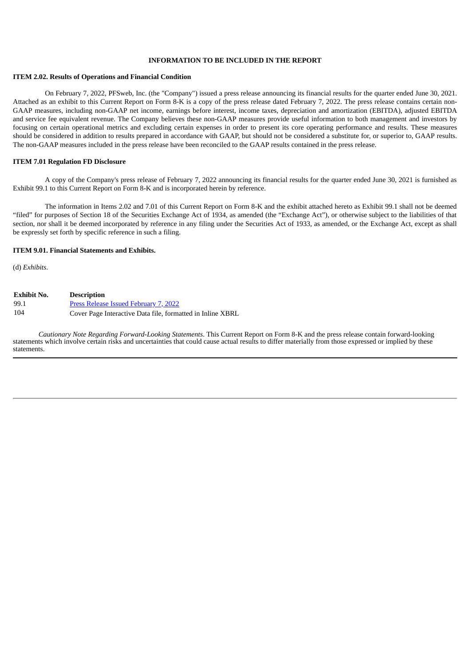#### **INFORMATION TO BE INCLUDED IN THE REPORT**

#### **ITEM 2.02. Results of Operations and Financial Condition**

On February 7, 2022, PFSweb, Inc. (the "Company") issued a press release announcing its financial results for the quarter ended June 30, 2021. Attached as an exhibit to this Current Report on Form 8-K is a copy of the press release dated February 7, 2022. The press release contains certain non-GAAP measures, including non-GAAP net income, earnings before interest, income taxes, depreciation and amortization (EBITDA), adjusted EBITDA and service fee equivalent revenue. The Company believes these non-GAAP measures provide useful information to both management and investors by focusing on certain operational metrics and excluding certain expenses in order to present its core operating performance and results. These measures should be considered in addition to results prepared in accordance with GAAP, but should not be considered a substitute for, or superior to, GAAP results. The non-GAAP measures included in the press release have been reconciled to the GAAP results contained in the press release.

#### **ITEM 7.01 Regulation FD Disclosure**

A copy of the Company's press release of February 7, 2022 announcing its financial results for the quarter ended June 30, 2021 is furnished as Exhibit 99.1 to this Current Report on Form 8-K and is incorporated herein by reference.

The information in Items 2.02 and 7.01 of this Current Report on Form 8-K and the exhibit attached hereto as Exhibit 99.1 shall not be deemed "filed" for purposes of Section 18 of the Securities Exchange Act of 1934, as amended (the "Exchange Act"), or otherwise subject to the liabilities of that section, nor shall it be deemed incorporated by reference in any filing under the Securities Act of 1933, as amended, or the Exchange Act, except as shall be expressly set forth by specific reference in such a filing.

#### **ITEM 9.01. Financial Statements and Exhibits.**

(d) *Exhibits*.

| Exhibit No. | <b>Description</b>                                         |
|-------------|------------------------------------------------------------|
| 99.1        | <b>Press Release Issued February 7, 2022</b>               |
| 104         | Cover Page Interactive Data file, formatted in Inline XBRL |

*Cautionary Note Regarding Forward-Looking Statements*. This Current Report on Form 8-K and the press release contain forward-looking statements which involve certain risks and uncertainties that could cause actual results to differ materially from those expressed or implied by these statements.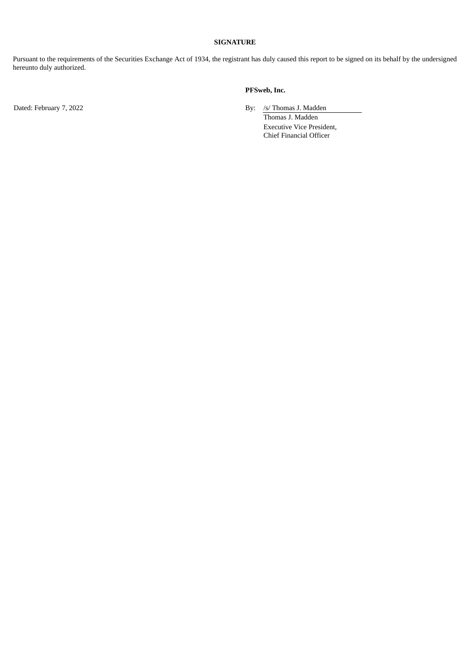#### **SIGNATURE**

Pursuant to the requirements of the Securities Exchange Act of 1934, the registrant has duly caused this report to be signed on its behalf by the undersigned hereunto duly authorized.

#### **PFSweb, Inc.**

Dated: February 7, 2022 **By:** /s/ Thomas J. Madden

Thomas J. Madden Executive Vice President, Chief Financial Officer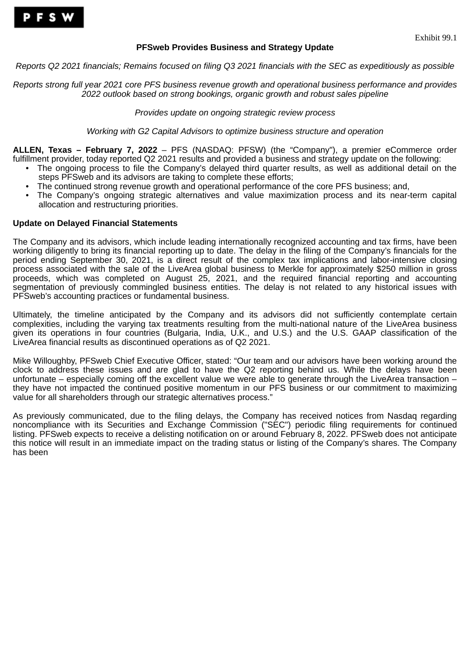### **PFSweb Provides Business and Strategy Update**

<span id="page-3-0"></span>*Reports Q2 2021 financials; Remains focused on filing Q3 2021 financials with the SEC as expeditiously as possible*

*Reports strong full year 2021 core PFS business revenue growth and operational business performance and provides 2022 outlook based on strong bookings, organic growth and robust sales pipeline*

*Provides update on ongoing strategic review process*

*Working with G2 Capital Advisors to optimize business structure and operation*

**ALLEN, Texas – February 7, 2022** – PFS (NASDAQ: PFSW) (the "Company"), a premier eCommerce order fulfillment provider, today reported Q2 2021 results and provided a business and strategy update on the following:

- The ongoing process to file the Company's delayed third quarter results, as well as additional detail on the steps PFSweb and its advisors are taking to complete these efforts;
- The continued strong revenue growth and operational performance of the core PFS business; and,
- The Company's ongoing strategic alternatives and value maximization process and its near-term capital allocation and restructuring priorities.

### **Update on Delayed Financial Statements**

The Company and its advisors, which include leading internationally recognized accounting and tax firms, have been working diligently to bring its financial reporting up to date. The delay in the filing of the Company's financials for the period ending September 30, 2021, is a direct result of the complex tax implications and labor-intensive closing process associated with the sale of the LiveArea global business to Merkle for approximately \$250 million in gross proceeds, which was completed on August 25, 2021, and the required financial reporting and accounting segmentation of previously commingled business entities. The delay is not related to any historical issues with PFSweb's accounting practices or fundamental business.

Ultimately, the timeline anticipated by the Company and its advisors did not sufficiently contemplate certain complexities, including the varying tax treatments resulting from the multi-national nature of the LiveArea business given its operations in four countries (Bulgaria, India, U.K., and U.S.) and the U.S. GAAP classification of the LiveArea financial results as discontinued operations as of Q2 2021.

Mike Willoughby, PFSweb Chief Executive Officer, stated: "Our team and our advisors have been working around the clock to address these issues and are glad to have the Q2 reporting behind us. While the delays have been unfortunate – especially coming off the excellent value we were able to generate through the LiveArea transaction – they have not impacted the continued positive momentum in our PFS business or our commitment to maximizing value for all shareholders through our strategic alternatives process."

As previously communicated, due to the filing delays, the Company has received notices from Nasdaq regarding noncompliance with its Securities and Exchange Commission ("SEC") periodic filing requirements for continued listing. PFSweb expects to receive a delisting notification on or around February 8, 2022. PFSweb does not anticipate this notice will result in an immediate impact on the trading status or listing of the Company's shares. The Company has been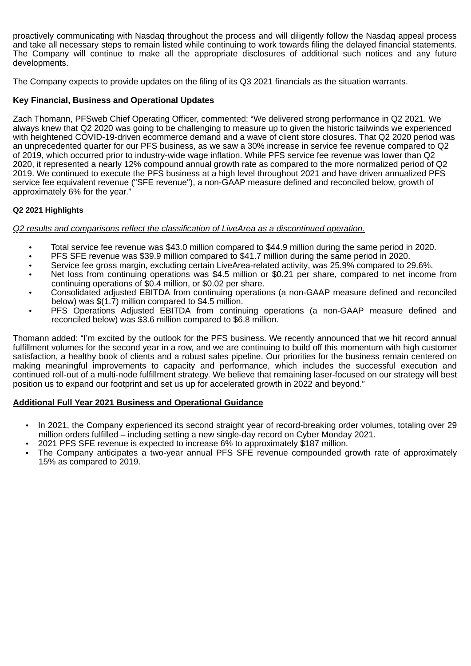proactively communicating with Nasdaq throughout the process and will diligently follow the Nasdaq appeal process and take all necessary steps to remain listed while continuing to work towards filing the delayed financial statements. The Company will continue to make all the appropriate disclosures of additional such notices and any future developments.

The Company expects to provide updates on the filing of its Q3 2021 financials as the situation warrants.

## **Key Financial, Business and Operational Updates**

Zach Thomann, PFSweb Chief Operating Officer, commented: "We delivered strong performance in Q2 2021. We always knew that Q2 2020 was going to be challenging to measure up to given the historic tailwinds we experienced with heightened COVID-19-driven ecommerce demand and a wave of client store closures. That Q2 2020 period was an unprecedented quarter for our PFS business, as we saw a 30% increase in service fee revenue compared to Q2 of 2019, which occurred prior to industry-wide wage inflation. While PFS service fee revenue was lower than Q2 2020, it represented a nearly 12% compound annual growth rate as compared to the more normalized period of Q2 2019. We continued to execute the PFS business at a high level throughout 2021 and have driven annualized PFS service fee equivalent revenue ("SFE revenue"), a non-GAAP measure defined and reconciled below, growth of approximately 6% for the year."

## **Q2 2021 Highlights**

*Q2 results and comparisons reflect the classification of LiveArea as a discontinued operation.*

- Total service fee revenue was \$43.0 million compared to \$44.9 million during the same period in 2020.
- PFS SFE revenue was \$39.9 million compared to \$41.7 million during the same period in 2020.
- Service fee gross margin, excluding certain LiveArea-related activity, was 25.9% compared to 29.6%.
- Net loss from continuing operations was \$4.5 million or \$0.21 per share, compared to net income from continuing operations of \$0.4 million, or \$0.02 per share.
- Consolidated adjusted EBITDA from continuing operations (a non-GAAP measure defined and reconciled below) was \$(1.7) million compared to \$4.5 million.
- PFS Operations Adjusted EBITDA from continuing operations (a non-GAAP measure defined and reconciled below) was \$3.6 million compared to \$6.8 million.

Thomann added: "I'm excited by the outlook for the PFS business. We recently announced that we hit record annual fulfillment volumes for the second year in a row, and we are continuing to build off this momentum with high customer satisfaction, a healthy book of clients and a robust sales pipeline. Our priorities for the business remain centered on making meaningful improvements to capacity and performance, which includes the successful execution and continued roll-out of a multi-node fulfillment strategy. We believe that remaining laser-focused on our strategy will best position us to expand our footprint and set us up for accelerated growth in 2022 and beyond."

## **Additional Full Year 2021 Business and Operational Guidance**

- In 2021, the Company experienced its second straight year of record-breaking order volumes, totaling over 29 million orders fulfilled – including setting a new single-day record on Cyber Monday 2021.
- 2021 PFS SFE revenue is expected to increase 6% to approximately \$187 million.
- The Company anticipates a two-year annual PFS SFE revenue compounded growth rate of approximately 15% as compared to 2019.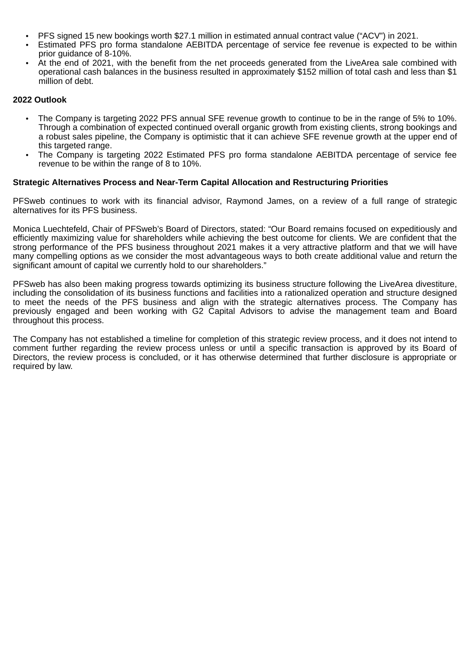- PFS signed 15 new bookings worth \$27.1 million in estimated annual contract value ("ACV") in 2021.
- Estimated PFS pro forma standalone AEBITDA percentage of service fee revenue is expected to be within prior guidance of 8-10%.
- At the end of 2021, with the benefit from the net proceeds generated from the LiveArea sale combined with operational cash balances in the business resulted in approximately \$152 million of total cash and less than \$1 million of debt.

### **2022 Outlook**

- The Company is targeting 2022 PFS annual SFE revenue growth to continue to be in the range of 5% to 10%. Through a combination of expected continued overall organic growth from existing clients, strong bookings and a robust sales pipeline, the Company is optimistic that it can achieve SFE revenue growth at the upper end of this targeted range.
- The Company is targeting 2022 Estimated PFS pro forma standalone AEBITDA percentage of service fee revenue to be within the range of 8 to 10%.

### **Strategic Alternatives Process and Near-Term Capital Allocation and Restructuring Priorities**

PFSweb continues to work with its financial advisor, Raymond James, on a review of a full range of strategic alternatives for its PFS business.

Monica Luechtefeld, Chair of PFSweb's Board of Directors, stated: "Our Board remains focused on expeditiously and efficiently maximizing value for shareholders while achieving the best outcome for clients. We are confident that the strong performance of the PFS business throughout 2021 makes it a very attractive platform and that we will have many compelling options as we consider the most advantageous ways to both create additional value and return the significant amount of capital we currently hold to our shareholders."

PFSweb has also been making progress towards optimizing its business structure following the LiveArea divestiture, including the consolidation of its business functions and facilities into a rationalized operation and structure designed to meet the needs of the PFS business and align with the strategic alternatives process. The Company has previously engaged and been working with G2 Capital Advisors to advise the management team and Board throughout this process.

The Company has not established a timeline for completion of this strategic review process, and it does not intend to comment further regarding the review process unless or until a specific transaction is approved by its Board of Directors, the review process is concluded, or it has otherwise determined that further disclosure is appropriate or required by law.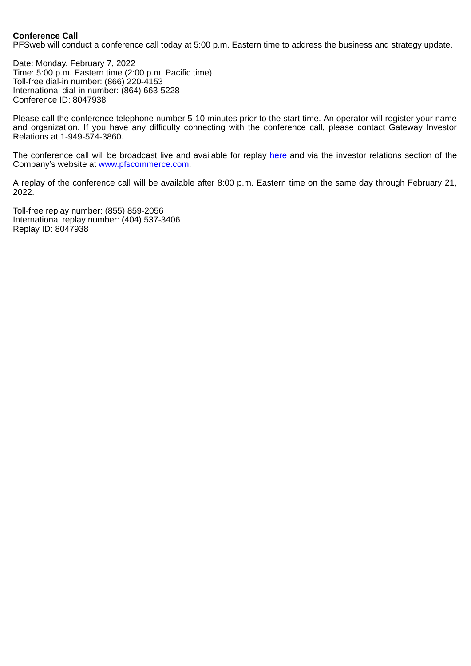### **Conference Call**

PFSweb will conduct a conference call today at 5:00 p.m. Eastern time to address the business and strategy update.

Date: Monday, February 7, 2022 Time: 5:00 p.m. Eastern time (2:00 p.m. Pacific time) Toll-free dial-in number: (866) 220-4153 International dial-in number: (864) 663-5228 Conference ID: 8047938

Please call the conference telephone number 5-10 minutes prior to the start time. An operator will register your name and organization. If you have any difficulty connecting with the conference call, please contact Gateway Investor Relations at 1-949-574-3860.

The conference call will be broadcast live and available for replay here and via the investor relations section of the Company's website at www.pfscommerce.com.

A replay of the conference call will be available after 8:00 p.m. Eastern time on the same day through February 21, 2022.

Toll-free replay number: (855) 859-2056 International replay number: (404) 537-3406 Replay ID: 8047938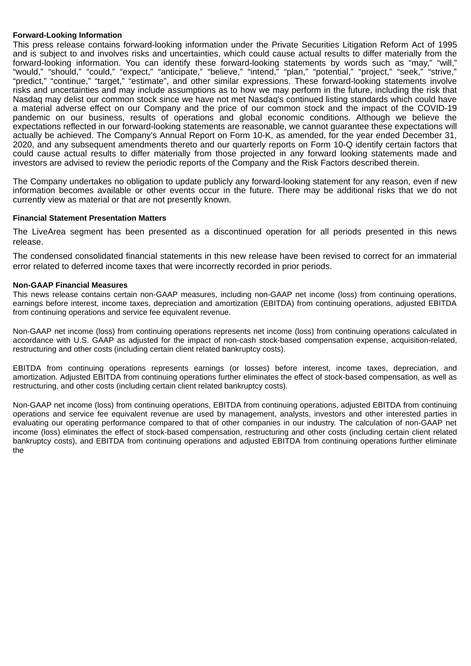#### **Forward-Looking Information**

This press release contains forward-looking information under the Private Securities Litigation Reform Act of 1995 and is subject to and involves risks and uncertainties, which could cause actual results to differ materially from the forward-looking information. You can identify these forward-looking statements by words such as "may," "will," "would," "should," "could," "expect," "anticipate," "believe," "intend," "plan," "potential," "project," "seek," "strive," "predict," "continue," "target," "estimate", and other similar expressions. These forward-looking statements involve risks and uncertainties and may include assumptions as to how we may perform in the future, including the risk that Nasdaq may delist our common stock since we have not met Nasdaq's continued listing standards which could have a material adverse effect on our Company and the price of our common stock and the impact of the COVID-19 pandemic on our business, results of operations and global economic conditions. Although we believe the expectations reflected in our forward-looking statements are reasonable, we cannot guarantee these expectations will actually be achieved. The Company's Annual Report on Form 10-K, as amended, for the year ended December 31, 2020, and any subsequent amendments thereto and our quarterly reports on Form 10-Q identify certain factors that could cause actual results to differ materially from those projected in any forward looking statements made and investors are advised to review the periodic reports of the Company and the Risk Factors described therein.

The Company undertakes no obligation to update publicly any forward-looking statement for any reason, even if new information becomes available or other events occur in the future. There may be additional risks that we do not currently view as material or that are not presently known.

### **Financial Statement Presentation Matters**

The LiveArea segment has been presented as a discontinued operation for all periods presented in this news release.

The condensed consolidated financial statements in this new release have been revised to correct for an immaterial error related to deferred income taxes that were incorrectly recorded in prior periods.

### **Non-GAAP Financial Measures**

This news release contains certain non-GAAP measures, including non-GAAP net income (loss) from continuing operations, earnings before interest, income taxes, depreciation and amortization (EBITDA) from continuing operations, adjusted EBITDA from continuing operations and service fee equivalent revenue.

Non-GAAP net income (loss) from continuing operations represents net income (loss) from continuing operations calculated in accordance with U.S. GAAP as adjusted for the impact of non-cash stock-based compensation expense, acquisition-related, restructuring and other costs (including certain client related bankruptcy costs).

EBITDA from continuing operations represents earnings (or losses) before interest, income taxes, depreciation, and amortization. Adjusted EBITDA from continuing operations further eliminates the effect of stock-based compensation, as well as restructuring, and other costs (including certain client related bankruptcy costs).

Non-GAAP net income (loss) from continuing operations, EBITDA from continuing operations, adjusted EBITDA from continuing operations and service fee equivalent revenue are used by management, analysts, investors and other interested parties in evaluating our operating performance compared to that of other companies in our industry. The calculation of non-GAAP net income (loss) eliminates the effect of stock-based compensation, restructuring and other costs (including certain client related bankruptcy costs), and EBITDA from continuing operations and adjusted EBITDA from continuing operations further eliminate the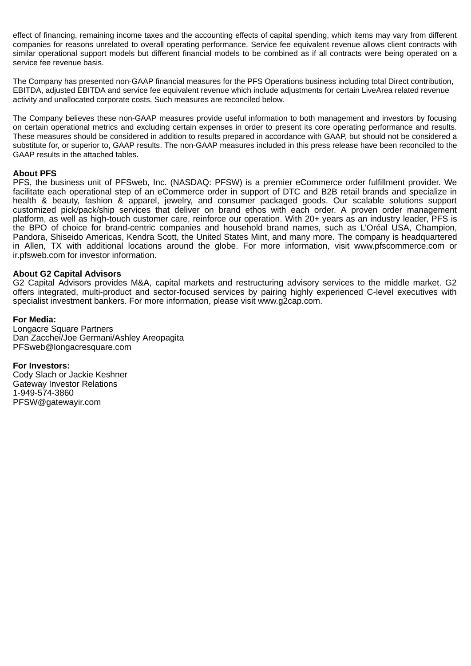effect of financing, remaining income taxes and the accounting effects of capital spending, which items may vary from different companies for reasons unrelated to overall operating performance. Service fee equivalent revenue allows client contracts with similar operational support models but different financial models to be combined as if all contracts were being operated on a service fee revenue basis.

The Company has presented non-GAAP financial measures for the PFS Operations business including total Direct contribution, EBITDA, adjusted EBITDA and service fee equivalent revenue which include adjustments for certain LiveArea related revenue activity and unallocated corporate costs. Such measures are reconciled below.

The Company believes these non-GAAP measures provide useful information to both management and investors by focusing on certain operational metrics and excluding certain expenses in order to present its core operating performance and results. These measures should be considered in addition to results prepared in accordance with GAAP, but should not be considered a substitute for, or superior to, GAAP results. The non-GAAP measures included in this press release have been reconciled to the GAAP results in the attached tables.

### **About PFS**

PFS, the business unit of PFSweb, Inc. (NASDAQ: PFSW) is a premier eCommerce order fulfillment provider. We facilitate each operational step of an eCommerce order in support of DTC and B2B retail brands and specialize in health & beauty, fashion & apparel, jewelry, and consumer packaged goods. Our scalable solutions support customized pick/pack/ship services that deliver on brand ethos with each order. A proven order management platform, as well as high-touch customer care, reinforce our operation. With 20+ years as an industry leader, PFS is the BPO of choice for brand-centric companies and household brand names, such as L'Oréal USA, Champion, Pandora, Shiseido Americas, Kendra Scott, the United States Mint, and many more. The company is headquartered in Allen, TX with additional locations around the globe. For more information, visit www.pfscommerce.com or ir.pfsweb.com for investor information.

### **About G2 Capital Advisors**

G2 Capital Advisors provides M&A, capital markets and restructuring advisory services to the middle market. G2 offers integrated, multi-product and sector-focused services by pairing highly experienced C-level executives with specialist investment bankers. For more information, please visit www.g2cap.com.

#### **For Media:**

Longacre Square Partners Dan Zacchei/Joe Germani/Ashley Areopagita PFSweb@longacresquare.com

**For Investors:** Cody Slach or Jackie Keshner Gateway Investor Relations 1-949-574-3860

PFSW@gatewayir.com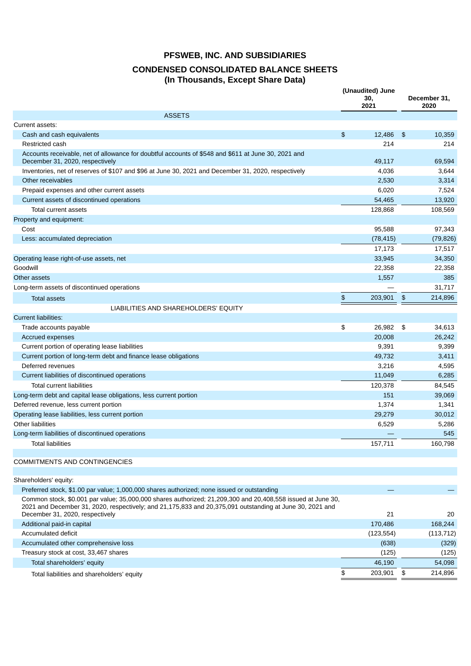## **CONDENSED CONSOLIDATED BALANCE SHEETS (In Thousands, Except Share Data)**

|                                                                                                                                                                                                                                                            | (Unaudited) June<br>30,<br>2021 |               | December 31,<br>2020 |
|------------------------------------------------------------------------------------------------------------------------------------------------------------------------------------------------------------------------------------------------------------|---------------------------------|---------------|----------------------|
| <b>ASSETS</b>                                                                                                                                                                                                                                              |                                 |               |                      |
| Current assets:                                                                                                                                                                                                                                            |                                 |               |                      |
| Cash and cash equivalents                                                                                                                                                                                                                                  | \$<br>12,486                    | -\$           | 10.359               |
| Restricted cash                                                                                                                                                                                                                                            | 214                             |               | 214                  |
| Accounts receivable, net of allowance for doubtful accounts of \$548 and \$611 at June 30, 2021 and<br>December 31, 2020, respectively                                                                                                                     | 49,117                          |               | 69,594               |
| Inventories, net of reserves of \$107 and \$96 at June 30, 2021 and December 31, 2020, respectively                                                                                                                                                        | 4,036                           |               | 3,644                |
| Other receivables                                                                                                                                                                                                                                          | 2,530                           |               | 3,314                |
| Prepaid expenses and other current assets                                                                                                                                                                                                                  | 6,020                           |               | 7,524                |
| Current assets of discontinued operations                                                                                                                                                                                                                  | 54,465                          |               | 13,920               |
| Total current assets                                                                                                                                                                                                                                       | 128,868                         |               | 108,569              |
| Property and equipment:                                                                                                                                                                                                                                    |                                 |               |                      |
| Cost                                                                                                                                                                                                                                                       | 95,588                          |               | 97,343               |
| Less: accumulated depreciation                                                                                                                                                                                                                             | (78, 415)                       |               | (79, 826)            |
|                                                                                                                                                                                                                                                            | 17,173                          |               | 17,517               |
| Operating lease right-of-use assets, net                                                                                                                                                                                                                   | 33,945                          |               | 34,350               |
| Goodwill                                                                                                                                                                                                                                                   | 22,358                          |               | 22,358               |
| Other assets                                                                                                                                                                                                                                               | 1,557                           |               | 385                  |
| Long-term assets of discontinued operations                                                                                                                                                                                                                |                                 |               | 31,717               |
| <b>Total assets</b>                                                                                                                                                                                                                                        | \$<br>203,901                   | $\frac{1}{2}$ | 214,896              |
| LIABILITIES AND SHAREHOLDERS' EQUITY                                                                                                                                                                                                                       |                                 |               |                      |
| <b>Current liabilities:</b>                                                                                                                                                                                                                                |                                 |               |                      |
| Trade accounts payable                                                                                                                                                                                                                                     | \$<br>26,982 \$                 |               | 34,613               |
| Accrued expenses                                                                                                                                                                                                                                           | 20,008                          |               | 26,242               |
| Current portion of operating lease liabilities                                                                                                                                                                                                             | 9,391                           |               | 9,399                |
| Current portion of long-term debt and finance lease obligations                                                                                                                                                                                            | 49,732                          |               | 3,411                |
| Deferred revenues                                                                                                                                                                                                                                          | 3,216                           |               | 4,595                |
| Current liabilities of discontinued operations                                                                                                                                                                                                             | 11,049                          |               | 6,285                |
| <b>Total current liabilities</b>                                                                                                                                                                                                                           | 120,378                         |               | 84,545               |
| Long-term debt and capital lease obligations, less current portion                                                                                                                                                                                         | 151                             |               | 39,069               |
| Deferred revenue, less current portion                                                                                                                                                                                                                     | 1,374                           |               | 1,341                |
| Operating lease liabilities, less current portion                                                                                                                                                                                                          | 29,279                          |               | 30,012               |
| <b>Other liabilities</b>                                                                                                                                                                                                                                   | 6,529                           |               | 5,286                |
| Long-term liabilities of discontinued operations                                                                                                                                                                                                           |                                 |               | 545                  |
| Total liabilities                                                                                                                                                                                                                                          | 157,711                         |               | 160,798              |
|                                                                                                                                                                                                                                                            |                                 |               |                      |
| COMMITMENTS AND CONTINGENCIES                                                                                                                                                                                                                              |                                 |               |                      |
|                                                                                                                                                                                                                                                            |                                 |               |                      |
| Shareholders' equity:                                                                                                                                                                                                                                      |                                 |               |                      |
| Preferred stock, \$1.00 par value; 1,000,000 shares authorized; none issued or outstanding                                                                                                                                                                 |                                 |               |                      |
| Common stock, \$0.001 par value; 35,000,000 shares authorized; 21,209,300 and 20,408,558 issued at June 30,<br>2021 and December 31, 2020, respectively; and 21,175,833 and 20,375,091 outstanding at June 30, 2021 and<br>December 31, 2020, respectively | 21                              |               | 20                   |
| Additional paid-in capital                                                                                                                                                                                                                                 | 170,486                         |               | 168,244              |
| Accumulated deficit                                                                                                                                                                                                                                        | (123, 554)                      |               | (113, 712)           |
| Accumulated other comprehensive loss                                                                                                                                                                                                                       | (638)                           |               | (329)                |
| Treasury stock at cost, 33,467 shares                                                                                                                                                                                                                      | (125)                           |               | (125)                |
| Total shareholders' equity                                                                                                                                                                                                                                 | 46,190                          |               | 54,098               |
| Total liabilities and shareholders' equity                                                                                                                                                                                                                 | \$<br>203,901                   | \$            | 214,896              |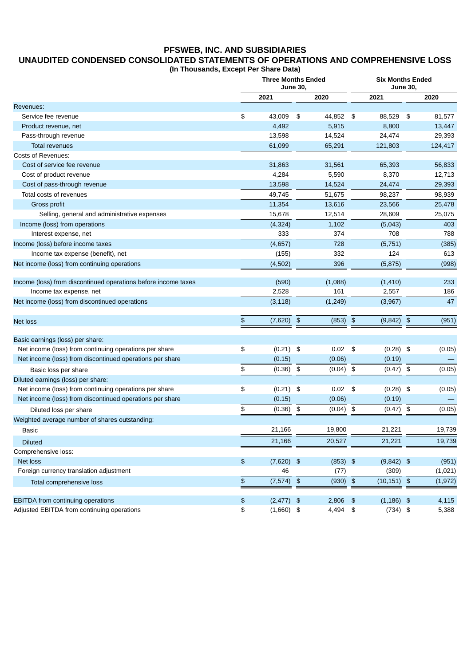## **UNAUDITED CONDENSED CONSOLIDATED STATEMENTS OF OPERATIONS AND COMPREHENSIVE LOSS**

**(In Thousands, Except Per Share Data)**

|                                                                | <b>Three Months Ended</b><br><b>June 30,</b> |    |            |                            |                | <b>Six Months Ended</b><br><b>June 30,</b> |          |  |  |
|----------------------------------------------------------------|----------------------------------------------|----|------------|----------------------------|----------------|--------------------------------------------|----------|--|--|
|                                                                | 2021                                         |    | 2020       |                            | 2021           |                                            | 2020     |  |  |
| Revenues:                                                      |                                              |    |            |                            |                |                                            |          |  |  |
| Service fee revenue                                            | \$<br>43,009                                 | \$ | 44,852     | \$                         | 88,529         | \$                                         | 81,577   |  |  |
| Product revenue, net                                           | 4,492                                        |    | 5,915      |                            | 8,800          |                                            | 13,447   |  |  |
| Pass-through revenue                                           | 13,598                                       |    | 14,524     |                            | 24,474         |                                            | 29,393   |  |  |
| <b>Total revenues</b>                                          | 61,099                                       |    | 65,291     |                            | 121,803        |                                            | 124,417  |  |  |
| <b>Costs of Revenues:</b>                                      |                                              |    |            |                            |                |                                            |          |  |  |
| Cost of service fee revenue                                    | 31,863                                       |    | 31,561     |                            | 65,393         |                                            | 56,833   |  |  |
| Cost of product revenue                                        | 4,284                                        |    | 5,590      |                            | 8,370          |                                            | 12,713   |  |  |
| Cost of pass-through revenue                                   | 13,598                                       |    | 14,524     |                            | 24,474         |                                            | 29,393   |  |  |
| Total costs of revenues                                        | 49,745                                       |    | 51,675     |                            | 98,237         |                                            | 98,939   |  |  |
| Gross profit                                                   | 11,354                                       |    | 13,616     |                            | 23,566         |                                            | 25,478   |  |  |
| Selling, general and administrative expenses                   | 15,678                                       |    | 12,514     |                            | 28,609         |                                            | 25,075   |  |  |
| Income (loss) from operations                                  | (4, 324)                                     |    | 1,102      |                            | (5,043)        |                                            | 403      |  |  |
| Interest expense, net                                          | 333                                          |    | 374        |                            | 708            |                                            | 788      |  |  |
| Income (loss) before income taxes                              | (4,657)                                      |    | 728        |                            | (5, 751)       |                                            | (385)    |  |  |
| Income tax expense (benefit), net                              | (155)                                        |    | 332        |                            | 124            |                                            | 613      |  |  |
| Net income (loss) from continuing operations                   | (4,502)                                      |    | 396        |                            | (5, 875)       |                                            | (998)    |  |  |
|                                                                |                                              |    |            |                            |                |                                            |          |  |  |
| Income (loss) from discontinued operations before income taxes | (590)                                        |    | (1,088)    |                            | (1, 410)       |                                            | 233      |  |  |
| Income tax expense, net                                        | 2,528                                        |    | 161        |                            | 2,557          |                                            | 186      |  |  |
| Net income (loss) from discontinued operations                 | (3, 118)                                     |    | (1, 249)   |                            | (3,967)        |                                            | 47       |  |  |
|                                                                |                                              |    |            |                            |                |                                            |          |  |  |
| <b>Net loss</b>                                                | \$<br>(7,620)                                | \$ | $(853)$ \$ |                            | (9, 842)       | \$                                         | (951)    |  |  |
|                                                                |                                              |    |            |                            |                |                                            |          |  |  |
| Basic earnings (loss) per share:                               |                                              |    |            |                            |                |                                            |          |  |  |
| Net income (loss) from continuing operations per share         | \$<br>$(0.21)$ \$                            |    | 0.02       | \$                         | $(0.28)$ \$    |                                            | (0.05)   |  |  |
| Net income (loss) from discontinued operations per share       | (0.15)                                       |    | (0.06)     |                            | (0.19)         |                                            |          |  |  |
| Basic loss per share                                           | \$<br>(0.36)                                 | \$ | (0.04)     | \$                         | (0.47)         | \$                                         | (0.05)   |  |  |
| Diluted earnings (loss) per share:                             |                                              |    |            |                            |                |                                            |          |  |  |
| Net income (loss) from continuing operations per share         | \$<br>$(0.21)$ \$                            |    | 0.02       | \$                         | $(0.28)$ \$    |                                            | (0.05)   |  |  |
| Net income (loss) from discontinued operations per share       | (0.15)                                       |    | (0.06)     |                            | (0.19)         |                                            |          |  |  |
| Diluted loss per share                                         | \$<br>(0.36)                                 | \$ | (0.04)     | \$                         | (0.47)         | \$                                         | (0.05)   |  |  |
| Weighted average number of shares outstanding:                 |                                              |    |            |                            |                |                                            |          |  |  |
| Basic                                                          | 21,166                                       |    | 19,800     |                            | 21,221         |                                            | 19,739   |  |  |
| <b>Diluted</b>                                                 | 21,166                                       |    | 20,527     |                            | 21,221         |                                            | 19,739   |  |  |
| Comprehensive loss:                                            |                                              |    |            |                            |                |                                            |          |  |  |
| Net loss                                                       | \$<br>$(7,620)$ \$                           |    | $(853)$ \$ |                            | $(9,842)$ \$   |                                            | (951)    |  |  |
| Foreign currency translation adjustment                        | 46                                           |    | (77)       |                            | (309)          |                                            | (1,021)  |  |  |
| Total comprehensive loss                                       | \$<br>(7,574)                                | \$ | (930)      | $\boldsymbol{\mathsf{\$}}$ | $(10, 151)$ \$ |                                            | (1, 972) |  |  |
|                                                                |                                              |    |            |                            |                |                                            |          |  |  |
| EBITDA from continuing operations                              | \$<br>$(2,477)$ \$                           |    | 2,806      | \$                         | $(1,186)$ \$   |                                            | 4,115    |  |  |
| Adjusted EBITDA from continuing operations                     | \$<br>$(1,660)$ \$                           |    | 4,494      | \$                         | $(734)$ \$     |                                            | 5,388    |  |  |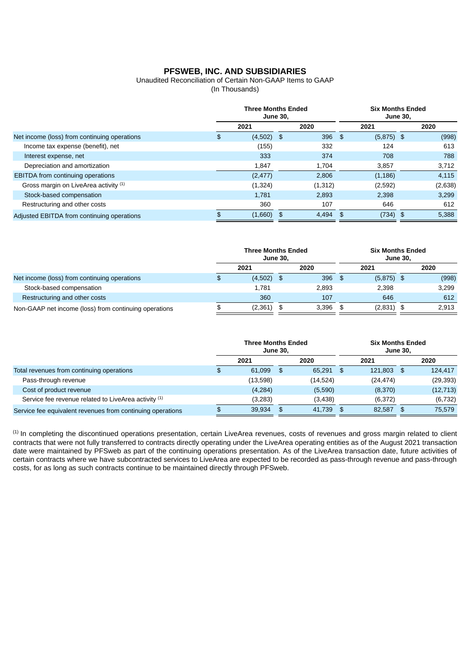# Unaudited Reconciliation of Certain Non-GAAP Items to GAAP

(In Thousands)

|                                              | <b>Three Months Ended</b><br>June 30, |              |    |         | <b>Six Months Ended</b><br>June 30, |              |            |         |  |
|----------------------------------------------|---------------------------------------|--------------|----|---------|-------------------------------------|--------------|------------|---------|--|
|                                              |                                       | 2021         |    | 2020    |                                     | 2021         |            | 2020    |  |
| Net income (loss) from continuing operations | \$                                    | $(4,502)$ \$ |    | 396     | \$                                  | $(5,875)$ \$ |            | (998)   |  |
| Income tax expense (benefit), net            |                                       | (155)        |    | 332     |                                     | 124          |            | 613     |  |
| Interest expense, net                        |                                       | 333          |    | 374     |                                     | 708          |            | 788     |  |
| Depreciation and amortization                |                                       | 1,847        |    | 1.704   |                                     | 3,857        |            | 3,712   |  |
| EBITDA from continuing operations            |                                       | (2, 477)     |    | 2,806   |                                     | (1, 186)     |            | 4,115   |  |
| Gross margin on LiveArea activity (1)        |                                       | (1, 324)     |    | (1,312) |                                     | (2,592)      |            | (2,638) |  |
| Stock-based compensation                     |                                       | 1,781        |    | 2,893   |                                     | 2,398        |            | 3,299   |  |
| Restructuring and other costs                |                                       | 360          |    | 107     |                                     | 646          |            | 612     |  |
| Adjusted EBITDA from continuing operations   |                                       | (1,660)      | \$ | 4,494   | \$                                  | (734)        | $\sqrt{3}$ | 5,388   |  |

|                                                       | <b>Three Months Ended</b><br>June 30, |               |       |     | <b>Six Months Ended</b><br>June 30, |  |       |  |  |
|-------------------------------------------------------|---------------------------------------|---------------|-------|-----|-------------------------------------|--|-------|--|--|
|                                                       | 2021                                  |               | 2020  |     | 2021                                |  | 2020  |  |  |
| Net income (loss) from continuing operations          | \$<br>(4,502)                         | $\mathcal{S}$ | 396   | -\$ | $(5,875)$ \$                        |  | (998) |  |  |
| Stock-based compensation                              | 1,781                                 |               | 2.893 |     | 2.398                               |  | 3.299 |  |  |
| Restructuring and other costs                         | 360                                   |               | 107   |     | 646                                 |  | 612   |  |  |
| Non-GAAP net income (loss) from continuing operations | (2,361)                               | \$            | 3,396 | \$  | $(2,831)$ \$                        |  | 2.913 |  |  |

|                                                            | <b>Three Months Ended</b><br>June 30, |    |          |      | <b>Six Months Ended</b><br>June 30. |      |           |  |  |
|------------------------------------------------------------|---------------------------------------|----|----------|------|-------------------------------------|------|-----------|--|--|
|                                                            | 2021                                  |    | 2020     |      | 2021                                |      | 2020      |  |  |
| Total revenues from continuing operations                  | \$<br>61,099                          | \$ | 65,291   | - \$ | 121,803                             | - \$ | 124,417   |  |  |
| Pass-through revenue                                       | (13,598)                              |    | (14,524) |      | (24, 474)                           |      | (29, 393) |  |  |
| Cost of product revenue                                    | (4, 284)                              |    | (5,590)  |      | (8,370)                             |      | (12, 713) |  |  |
| Service fee revenue related to LiveArea activity (1)       | (3,283)                               |    | (3,438)  |      | (6,372)                             |      | (6, 732)  |  |  |
| Service fee equivalent revenues from continuing operations | 39,934                                |    | 41.739   | -S   | 82.587                              | \$   | 75.579    |  |  |

 $<sup>(1)</sup>$  In completing the discontinued operations presentation, certain LiveArea revenues, costs of revenues and gross margin related to client</sup> contracts that were not fully transferred to contracts directly operating under the LiveArea operating entities as of the August 2021 transaction date were maintained by PFSweb as part of the continuing operations presentation. As of the LiveArea transaction date, future activities of certain contracts where we have subcontracted services to LiveArea are expected to be recorded as pass-through revenue and pass-through costs, for as long as such contracts continue to be maintained directly through PFSweb.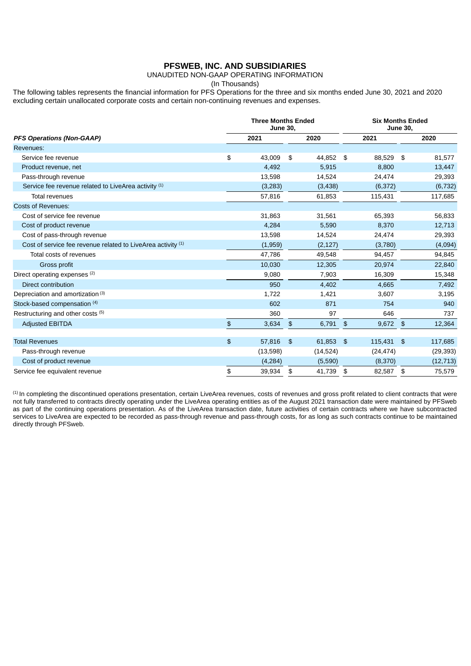### UNAUDITED NON-GAAP OPERATING INFORMATION

(In Thousands)

The following tables represents the financial information for PFS Operations for the three and six months ended June 30, 2021 and 2020 excluding certain unallocated corporate costs and certain non-continuing revenues and expenses.

|                                                              | <b>Three Months Ended</b><br>June 30, |          |               |             |               | <b>Six Months Ended</b><br>June 30, |      |           |  |  |
|--------------------------------------------------------------|---------------------------------------|----------|---------------|-------------|---------------|-------------------------------------|------|-----------|--|--|
| <b>PFS Operations (Non-GAAP)</b>                             |                                       | 2021     |               | 2020        |               | 2021                                |      | 2020      |  |  |
| Revenues:                                                    |                                       |          |               |             |               |                                     |      |           |  |  |
| Service fee revenue                                          | \$                                    | 43,009   | \$            | 44,852 \$   |               | 88,529                              | - \$ | 81,577    |  |  |
| Product revenue, net                                         |                                       | 4,492    |               | 5,915       |               | 8,800                               |      | 13,447    |  |  |
| Pass-through revenue                                         |                                       | 13,598   |               | 14,524      |               | 24,474                              |      | 29,393    |  |  |
| Service fee revenue related to LiveArea activity (1)         |                                       | (3,283)  |               | (3,438)     |               | (6, 372)                            |      | (6, 732)  |  |  |
| <b>Total revenues</b>                                        |                                       | 57,816   |               | 61,853      |               | 115,431                             |      | 117,685   |  |  |
| <b>Costs of Revenues:</b>                                    |                                       |          |               |             |               |                                     |      |           |  |  |
| Cost of service fee revenue                                  |                                       | 31,863   |               | 31,561      |               | 65,393                              |      | 56,833    |  |  |
| Cost of product revenue                                      |                                       | 4,284    |               | 5,590       |               | 8,370                               |      | 12,713    |  |  |
| Cost of pass-through revenue                                 |                                       | 13,598   |               | 14,524      |               | 24,474                              |      | 29,393    |  |  |
| Cost of service fee revenue related to LiveArea activity (1) |                                       | (1,959)  |               | (2,127)     |               | (3,780)                             |      | (4,094)   |  |  |
| Total costs of revenues                                      |                                       | 47,786   |               | 49,548      |               | 94,457                              |      | 94,845    |  |  |
| Gross profit                                                 |                                       | 10,030   |               | 12,305      |               | 20,974                              |      | 22,840    |  |  |
| Direct operating expenses (2)                                |                                       | 9,080    |               | 7,903       |               | 16,309                              |      | 15,348    |  |  |
| <b>Direct contribution</b>                                   |                                       | 950      |               | 4,402       |               | 4,665                               |      | 7,492     |  |  |
| Depreciation and amortization (3)                            |                                       | 1,722    |               | 1,421       |               | 3,607                               |      | 3,195     |  |  |
| Stock-based compensation (4)                                 |                                       | 602      |               | 871         |               | 754                                 |      | 940       |  |  |
| Restructuring and other costs (5)                            |                                       | 360      |               | 97          |               | 646                                 |      | 737       |  |  |
| <b>Adjusted EBITDA</b>                                       | \$                                    | 3,634    | $\frac{3}{2}$ | 6,791       | $\frac{1}{2}$ | $9,672$ \$                          |      | 12,364    |  |  |
|                                                              |                                       |          |               |             |               |                                     |      |           |  |  |
| <b>Total Revenues</b>                                        | \$                                    | 57,816   | \$            | $61,853$ \$ |               | 115,431 \$                          |      | 117,685   |  |  |
| Pass-through revenue                                         |                                       | (13,598) |               | (14, 524)   |               | (24, 474)                           |      | (29, 393) |  |  |
| Cost of product revenue                                      |                                       | (4, 284) |               | (5,590)     |               | (8,370)                             |      | (12, 713) |  |  |
| Service fee equivalent revenue                               | \$                                    | 39,934   | \$            | 41,739      | \$            | 82,587 \$                           |      | 75,579    |  |  |

 $\text{\tiny{(1)}}$  In completing the discontinued operations presentation, certain LiveArea revenues, costs of revenues and gross profit related to client contracts that were not fully transferred to contracts directly operating under the LiveArea operating entities as of the August 2021 transaction date were maintained by PFSweb as part of the continuing operations presentation. As of the LiveArea transaction date, future activities of certain contracts where we have subcontracted services to LiveArea are expected to be recorded as pass-through revenue and pass-through costs, for as long as such contracts continue to be maintained directly through PFSweb.